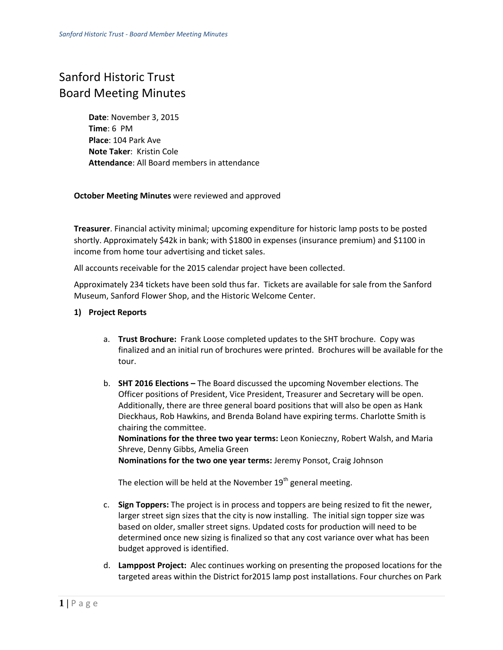## Sanford Historic Trust Board Meeting Minutes

**Date**: November 3, 2015 **Time**: 6 PM **Place**: 104 Park Ave **Note Taker**: Kristin Cole **Attendance**: All Board members in attendance

## **October Meeting Minutes** were reviewed and approved

**Treasurer**. Financial activity minimal; upcoming expenditure for historic lamp posts to be posted shortly. Approximately \$42k in bank; with \$1800 in expenses (insurance premium) and \$1100 in income from home tour advertising and ticket sales.

All accounts receivable for the 2015 calendar project have been collected.

Approximately 234 tickets have been sold thus far. Tickets are available for sale from the Sanford Museum, Sanford Flower Shop, and the Historic Welcome Center.

## **1) Project Reports**

- a. **Trust Brochure:** Frank Loose completed updates to the SHT brochure. Copy was finalized and an initial run of brochures were printed. Brochures will be available for the tour.
- b. **SHT 2016 Elections –** The Board discussed the upcoming November elections. The Officer positions of President, Vice President, Treasurer and Secretary will be open. Additionally, there are three general board positions that will also be open as Hank Dieckhaus, Rob Hawkins, and Brenda Boland have expiring terms. Charlotte Smith is chairing the committee.

**Nominations for the three two year terms:** Leon Konieczny, Robert Walsh, and Maria Shreve, Denny Gibbs, Amelia Green

**Nominations for the two one year terms:** Jeremy Ponsot, Craig Johnson

The election will be held at the November  $19<sup>th</sup>$  general meeting.

- c. **Sign Toppers:** The project is in process and toppers are being resized to fit the newer, larger street sign sizes that the city is now installing. The initial sign topper size was based on older, smaller street signs. Updated costs for production will need to be determined once new sizing is finalized so that any cost variance over what has been budget approved is identified.
- d. **Lamppost Project:** Alec continues working on presenting the proposed locations for the targeted areas within the District for2015 lamp post installations. Four churches on Park